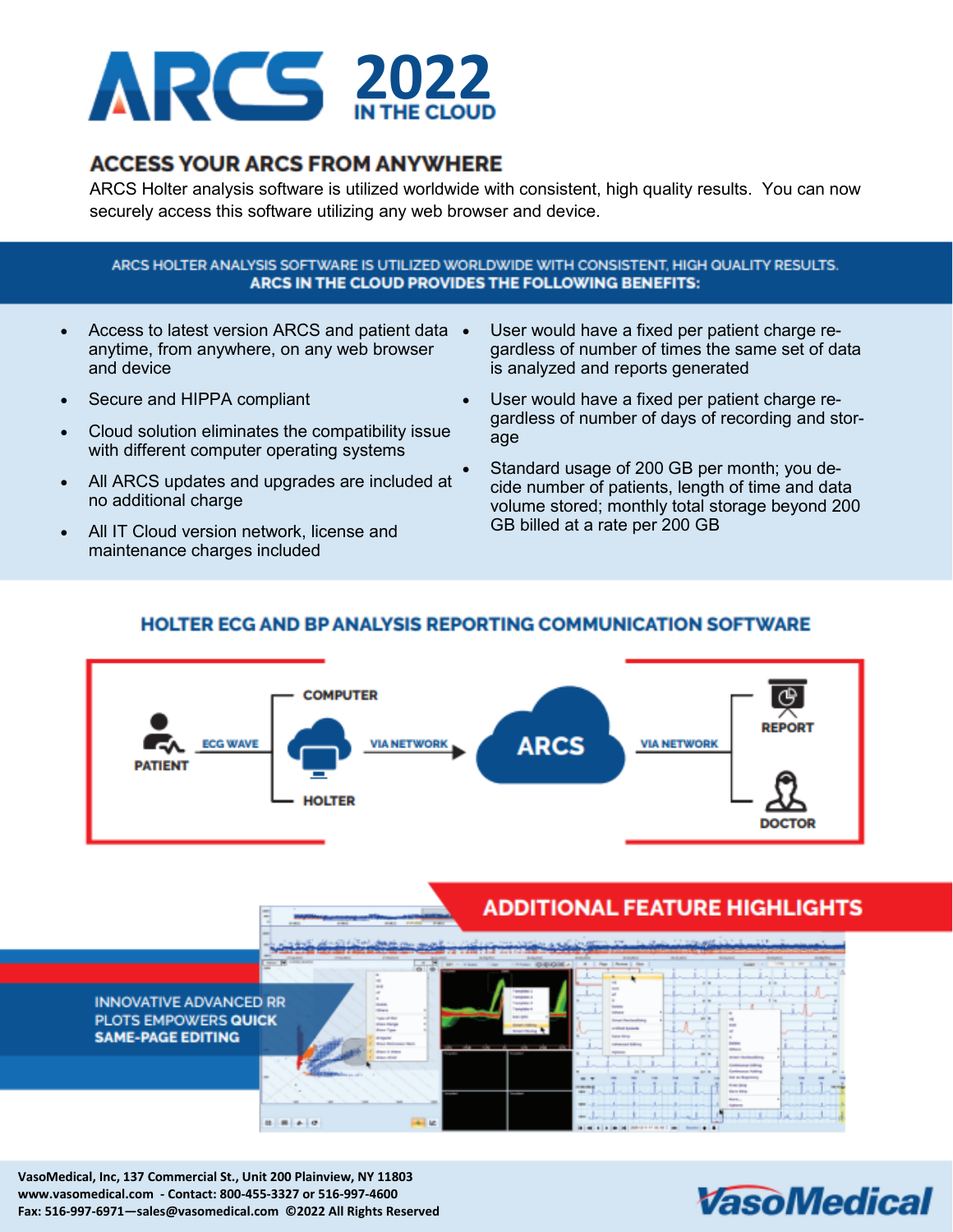

## **ACCESS YOUR ARCS FROM ANYWHERE**

ARCS Holter analysis software is utilized worldwide with consistent, high quality results. You can now securely access this software utilizing any web browser and device.

### ARCS HOLTER ANALYSIS SOFTWARE IS UTILIZED WORLDWIDE WITH CONSISTENT, HIGH QUALITY RESULTS. ARCS IN THE CLOUD PROVIDES THE FOLLOWING BENEFITS:

- Access to latest version ARCS and patient data anytime, from anywhere, on any web browser and device
- Secure and HIPPA compliant
- Cloud solution eliminates the compatibility issue with different computer operating systems
- All ARCS updates and upgrades are included at no additional charge
- All IT Cloud version network, license and maintenance charges included
- User would have a fixed per patient charge regardless of number of times the same set of data is analyzed and reports generated
- User would have a fixed per patient charge regardless of number of days of recording and storage
- Standard usage of 200 GB per month; you decide number of patients, length of time and data volume stored; monthly total storage beyond 200 GB billed at a rate per 200 GB

### **HOLTER ECG AND BP ANALYSIS REPORTING COMMUNICATION SOFTWARE**



# **ADDITIONAL FEATURE HIGHLIGHTS**



**VasoMedical, Inc, 137 Commercial St., Unit 200 Plainview, NY 11803 www.vasomedical.com - Contact: 800-455-3327 or 516-997-4600 Fax: 516-997-6971—sales@vasomedical.com ©2022 All Rights Reserved**